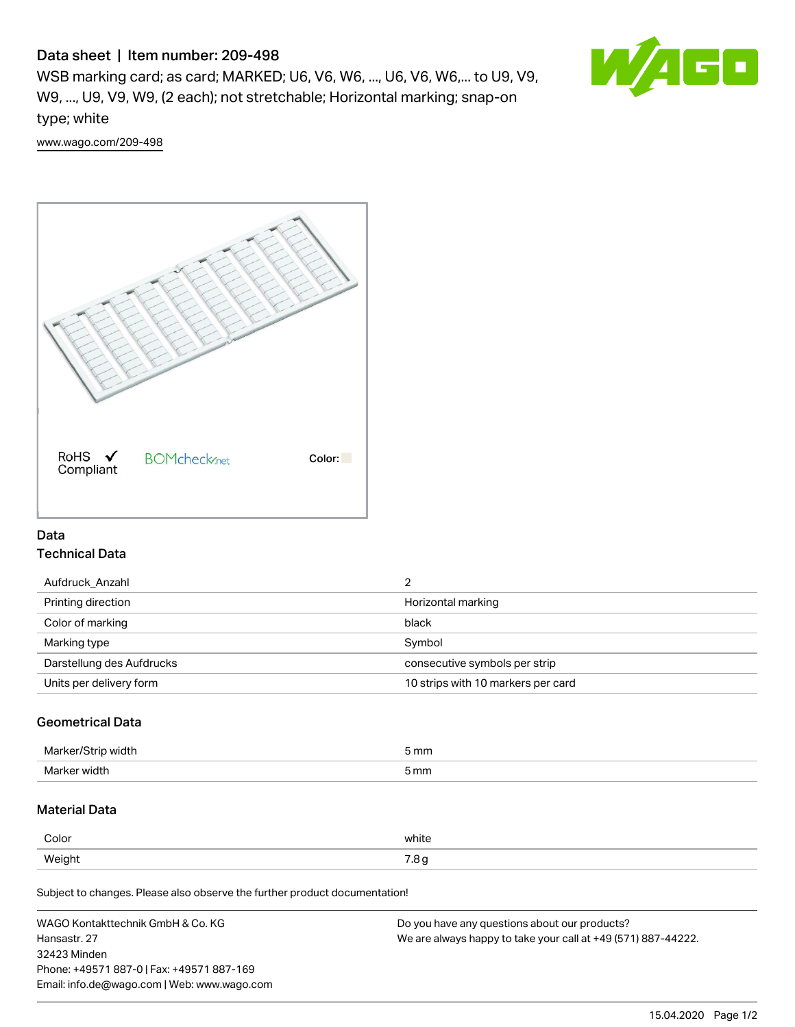# Data sheet | Item number: 209-498

WSB marking card; as card; MARKED; U6, V6, W6, ..., U6, V6, W6,... to U9, V9, W9, ..., U9, V9, W9, (2 each); not stretchable; Horizontal marking; snap-on type; white



[www.wago.com/209-498](http://www.wago.com/209-498)



## Data Technical Data

| Printing direction<br>Horizontal marking                      |
|---------------------------------------------------------------|
| Color of marking<br>black                                     |
| Symbol<br>Marking type                                        |
| Darstellung des Aufdrucks<br>consecutive symbols per strip    |
| 10 strips with 10 markers per card<br>Units per delivery form |

### Geometrical Data

| Mar<br>$\sim$ $\sim$ $\sim$   | 5 mm |
|-------------------------------|------|
| Mark.<br><b>WINT</b><br>$  -$ | 5 mm |

### Material Data

| Color  | white               |
|--------|---------------------|
| Weight | $ -$<br>ن. ،<br>ل - |

Subject to changes. Please also observe the further product documentation!

| WAGO Kontakttechnik GmbH & Co. KG           | Do you have any questions about our products?                 |
|---------------------------------------------|---------------------------------------------------------------|
| Hansastr, 27                                | We are always happy to take your call at +49 (571) 887-44222. |
| 32423 Minden                                |                                                               |
| Phone: +49571 887-0   Fax: +49571 887-169   |                                                               |
| Email: info.de@wago.com   Web: www.wago.com |                                                               |